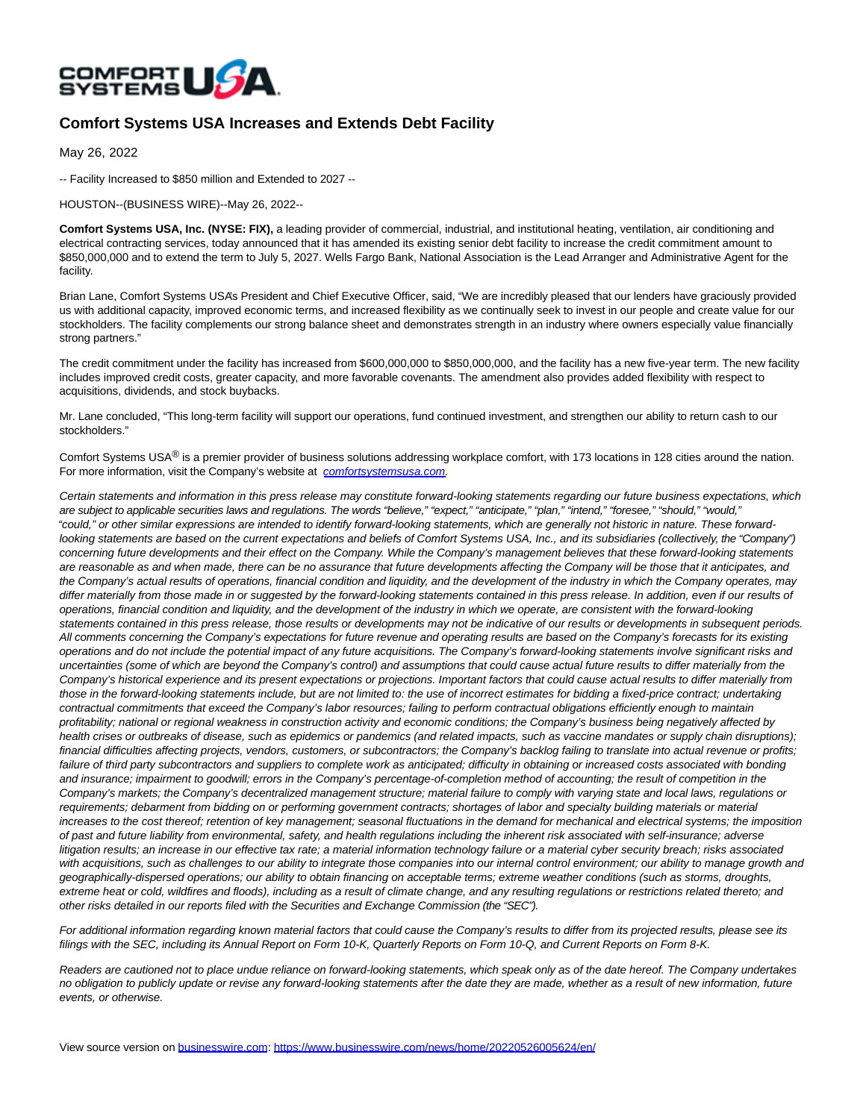

## **Comfort Systems USA Increases and Extends Debt Facility**

May 26, 2022

-- Facility Increased to \$850 million and Extended to 2027 --

HOUSTON--(BUSINESS WIRE)--May 26, 2022--

**Comfort Systems USA, Inc. (NYSE: FIX),** a leading provider of commercial, industrial, and institutional heating, ventilation, air conditioning and electrical contracting services, today announced that it has amended its existing senior debt facility to increase the credit commitment amount to \$850,000,000 and to extend the term to July 5, 2027. Wells Fargo Bank, National Association is the Lead Arranger and Administrative Agent for the facility.

Brian Lane, Comfort Systems USA's President and Chief Executive Officer, said, "We are incredibly pleased that our lenders have graciously provided us with additional capacity, improved economic terms, and increased flexibility as we continually seek to invest in our people and create value for our stockholders. The facility complements our strong balance sheet and demonstrates strength in an industry where owners especially value financially strong partners."

The credit commitment under the facility has increased from \$600,000,000 to \$850,000,000, and the facility has a new five-year term. The new facility includes improved credit costs, greater capacity, and more favorable covenants. The amendment also provides added flexibility with respect to acquisitions, dividends, and stock buybacks.

Mr. Lane concluded, "This long-term facility will support our operations, fund continued investment, and strengthen our ability to return cash to our stockholders."

Comfort Systems USA® is a premier provider of business solutions addressing workplace comfort, with 173 locations in 128 cities around the nation. For more information, visit the Company's website at [comfortsystemsusa.com.](https://cts.businesswire.com/ct/CT?id=smartlink&url=http%3A%2F%2Fcomfortsystemsusa.com&esheet=52732145&newsitemid=20220526005624&lan=en-US&anchor=comfortsystemsusa.com&index=1&md5=eb5d5ddff47113dcef11897339c9820e)

Certain statements and information in this press release may constitute forward-looking statements regarding our future business expectations, which are subject to applicable securities laws and regulations. The words "believe," "expect," "anticipate," "plan," "intend," "foresee," "should," "would," "could," or other similar expressions are intended to identify forward-looking statements, which are generally not historic in nature. These forwardlooking statements are based on the current expectations and beliefs of Comfort Systems USA, Inc., and its subsidiaries (collectively, the "Company") concerning future developments and their effect on the Company. While the Company's management believes that these forward-looking statements are reasonable as and when made, there can be no assurance that future developments affecting the Company will be those that it anticipates, and the Company's actual results of operations, financial condition and liquidity, and the development of the industry in which the Company operates, may differ materially from those made in or suggested by the forward-looking statements contained in this press release. In addition, even if our results of operations, financial condition and liquidity, and the development of the industry in which we operate, are consistent with the forward-looking statements contained in this press release, those results or developments may not be indicative of our results or developments in subsequent periods. All comments concerning the Company's expectations for future revenue and operating results are based on the Company's forecasts for its existing operations and do not include the potential impact of any future acquisitions. The Company's forward-looking statements involve significant risks and uncertainties (some of which are beyond the Company's control) and assumptions that could cause actual future results to differ materially from the Company's historical experience and its present expectations or projections. Important factors that could cause actual results to differ materially from those in the forward-looking statements include, but are not limited to: the use of incorrect estimates for bidding a fixed-price contract; undertaking contractual commitments that exceed the Company's labor resources; failing to perform contractual obligations efficiently enough to maintain profitability; national or regional weakness in construction activity and economic conditions; the Company's business being negatively affected by health crises or outbreaks of disease, such as epidemics or pandemics (and related impacts, such as vaccine mandates or supply chain disruptions); financial difficulties affecting projects, vendors, customers, or subcontractors; the Company's backlog failing to translate into actual revenue or profits; failure of third party subcontractors and suppliers to complete work as anticipated; difficulty in obtaining or increased costs associated with bonding and insurance; impairment to goodwill; errors in the Company's percentage-of-completion method of accounting; the result of competition in the Company's markets; the Company's decentralized management structure; material failure to comply with varying state and local laws, regulations or requirements; debarment from bidding on or performing government contracts; shortages of labor and specialty building materials or material increases to the cost thereof; retention of key management; seasonal fluctuations in the demand for mechanical and electrical systems; the imposition of past and future liability from environmental, safety, and health regulations including the inherent risk associated with self-insurance; adverse litigation results; an increase in our effective tax rate; a material information technology failure or a material cyber security breach; risks associated with acquisitions, such as challenges to our ability to integrate those companies into our internal control environment; our ability to manage growth and geographically-dispersed operations; our ability to obtain financing on acceptable terms; extreme weather conditions (such as storms, droughts, extreme heat or cold, wildfires and floods), including as a result of climate change, and any resulting regulations or restrictions related thereto; and other risks detailed in our reports filed with the Securities and Exchange Commission (the "SEC").

For additional information regarding known material factors that could cause the Company's results to differ from its projected results, please see its filings with the SEC, including its Annual Report on Form 10-K, Quarterly Reports on Form 10-Q, and Current Reports on Form 8-K.

Readers are cautioned not to place undue reliance on forward-looking statements, which speak only as of the date hereof. The Company undertakes no obligation to publicly update or revise any forward-looking statements after the date they are made, whether as a result of new information, future events, or otherwise.